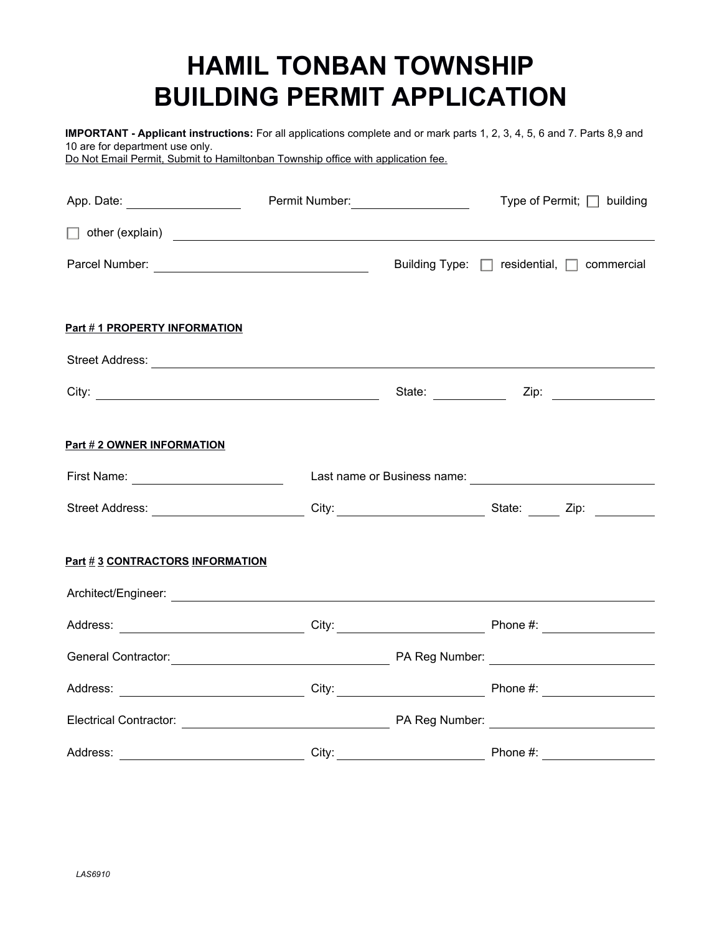## **HAMIL TONBAN TOWNSHIP BUILDING PERMIT APPLICATION**

**IMPORTANT - Applicant instructions:** For all applications complete and or mark parts 1, 2, 3, 4, 5, 6 and 7. Parts 8,9 and 10 are for department use only.

Do Not Email Permit, Submit to Hamiltonban Township office with application fee.

| App. Date: ____________________                                                                                                                                                                                                | Permit Number: ___________________ | Type of Permit; □ building |                                            |  |
|--------------------------------------------------------------------------------------------------------------------------------------------------------------------------------------------------------------------------------|------------------------------------|----------------------------|--------------------------------------------|--|
| other (explain) example and the set of the set of the set of the set of the set of the set of the set of the set of the set of the set of the set of the set of the set of the set of the set of the set of the set of the set |                                    |                            |                                            |  |
|                                                                                                                                                                                                                                |                                    |                            | Building Type: □ residential, □ commercial |  |
| Part #1 PROPERTY INFORMATION                                                                                                                                                                                                   |                                    |                            |                                            |  |
|                                                                                                                                                                                                                                |                                    |                            |                                            |  |
|                                                                                                                                                                                                                                |                                    |                            |                                            |  |
| Part # 2 OWNER INFORMATION                                                                                                                                                                                                     |                                    |                            |                                            |  |
| First Name: _________________________                                                                                                                                                                                          |                                    |                            |                                            |  |
| Street Address: ___________________________City: _________________________State: ______Zip: ______________                                                                                                                     |                                    |                            |                                            |  |
| <b>Part #3 CONTRACTORS INFORMATION</b>                                                                                                                                                                                         |                                    |                            |                                            |  |
|                                                                                                                                                                                                                                |                                    |                            |                                            |  |
|                                                                                                                                                                                                                                |                                    |                            |                                            |  |
|                                                                                                                                                                                                                                |                                    |                            |                                            |  |
|                                                                                                                                                                                                                                |                                    |                            |                                            |  |
|                                                                                                                                                                                                                                |                                    |                            |                                            |  |
|                                                                                                                                                                                                                                |                                    |                            |                                            |  |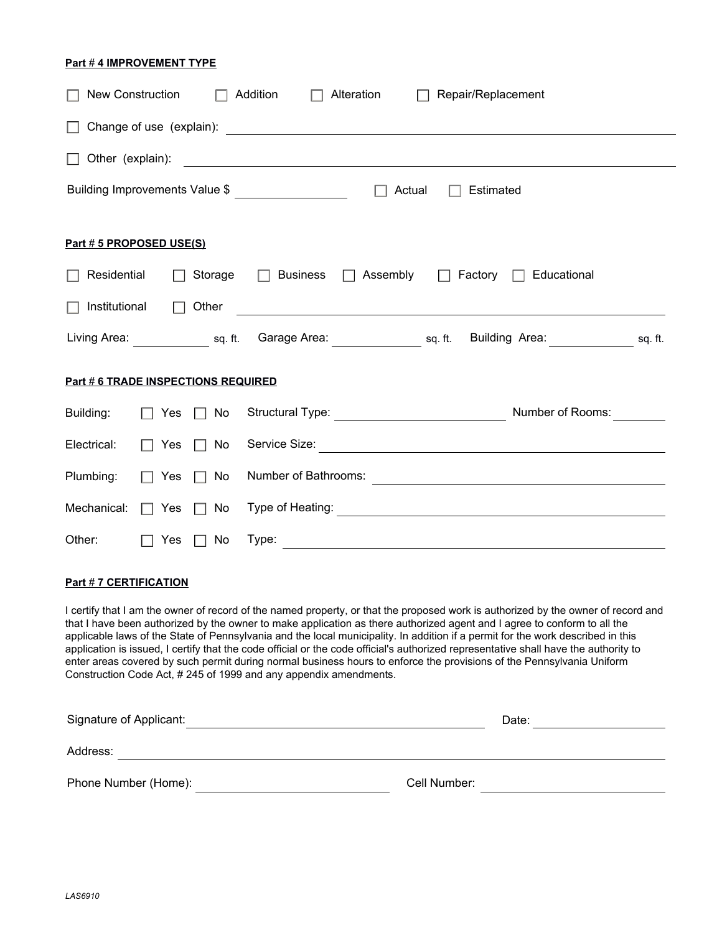## **Part # 4 IMPROVEMENT TYPE**

| New Construction                    |                      |               | Addition<br>Alteration<br>Repair/Replacement                                                                                                 |  |
|-------------------------------------|----------------------|---------------|----------------------------------------------------------------------------------------------------------------------------------------------|--|
|                                     |                      |               |                                                                                                                                              |  |
|                                     |                      |               | Other (explain):                                                                                                                             |  |
|                                     |                      |               | Building Improvements Value \$<br>Actual<br>Estimated                                                                                        |  |
| Part # 5 PROPOSED USE(S)            |                      |               |                                                                                                                                              |  |
| Residential                         |                      | Storage       | $\Box$ Business<br>$\Box$ Assembly $\Box$ Factory $\Box$ Educational                                                                         |  |
| Institutional                       |                      | Other         | <u> 1989 - Johann Harry Harry Harry Harry Harry Harry Harry Harry Harry Harry Harry Harry Harry Harry Harry Harry</u>                        |  |
|                                     |                      |               | Living Area: <u>Containing Supering Sq. ft.</u> Garage Area: Containing Sq. ft.<br>Building Area: sq. ft.                                    |  |
| Part # 6 TRADE INSPECTIONS REQUIRED |                      |               |                                                                                                                                              |  |
| Building:                           | $\Box$ Yes $\Box$ No |               | Structural Type: <u>____________________________</u><br>Number of Rooms:                                                                     |  |
| Electrical:                         | Yes                  | No<br>$\perp$ |                                                                                                                                              |  |
| Plumbing:                           | Yes                  | No            | Number of Bathrooms:<br><u> Andreas Andreas Andreas Andreas Andreas Andreas Andreas Andreas Andreas Andreas Andreas Andreas Andreas Andr</u> |  |
| Mechanical:                         | Yes                  | No            |                                                                                                                                              |  |
| Other:                              | Yes                  | No            | Type:                                                                                                                                        |  |

## **Part # 7 CERTIFICATION**

I certify that I am the owner of record of the named property, or that the proposed work is authorized by the owner of record and that I have been authorized by the owner to make application as there authorized agent and I agree to conform to all the applicable laws of the State of Pennsylvania and the local municipality. In addition if a permit for the work described in this application is issued, I certify that the code official or the code official's authorized representative shall have the authority to enter areas covered by such permit during normal business hours to enforce the provisions of the Pennsylvania Uniform Construction Code Act, # 245 of 1999 and any appendix amendments.

| Signature of Applicant: | Date:        |
|-------------------------|--------------|
| Address:                |              |
| Phone Number (Home):    | Cell Number: |